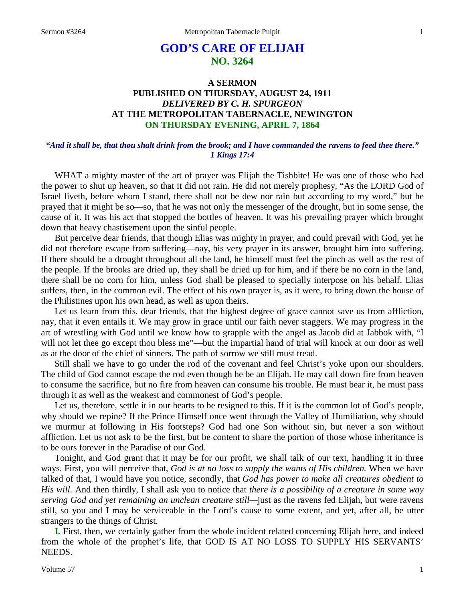# **GOD'S CARE OF ELIJAH NO. 3264**

# **A SERMON PUBLISHED ON THURSDAY, AUGUST 24, 1911** *DELIVERED BY C. H. SPURGEON* **AT THE METROPOLITAN TABERNACLE, NEWINGTON ON THURSDAY EVENING, APRIL 7, 1864**

### *"And it shall be, that thou shalt drink from the brook; and I have commanded the ravens to feed thee there." 1 Kings 17:4*

WHAT a mighty master of the art of prayer was Elijah the Tishbite! He was one of those who had the power to shut up heaven, so that it did not rain. He did not merely prophesy, "As the LORD God of Israel liveth, before whom I stand, there shall not be dew nor rain but according to my word," but he prayed that it might be so—so, that he was not only the messenger of the drought, but in some sense, the cause of it. It was his act that stopped the bottles of heaven. It was his prevailing prayer which brought down that heavy chastisement upon the sinful people.

But perceive dear friends, that though Elias was mighty in prayer, and could prevail with God, yet he did not therefore escape from suffering—nay, his very prayer in its answer, brought him into suffering. If there should be a drought throughout all the land, he himself must feel the pinch as well as the rest of the people. If the brooks are dried up, they shall be dried up for him, and if there be no corn in the land, there shall be no corn for him, unless God shall be pleased to specially interpose on his behalf. Elias suffers, then, in the common evil. The effect of his own prayer is, as it were, to bring down the house of the Philistines upon his own head, as well as upon theirs.

Let us learn from this, dear friends, that the highest degree of grace cannot save us from affliction, nay, that it even entails it. We may grow in grace until our faith never staggers. We may progress in the art of wrestling with God until we know how to grapple with the angel as Jacob did at Jabbok with, "I will not let thee go except thou bless me"—but the impartial hand of trial will knock at our door as well as at the door of the chief of sinners. The path of sorrow we still must tread.

Still shall we have to go under the rod of the covenant and feel Christ's yoke upon our shoulders. The child of God cannot escape the rod even though he be an Elijah. He may call down fire from heaven to consume the sacrifice, but no fire from heaven can consume his trouble. He must bear it, he must pass through it as well as the weakest and commonest of God's people.

Let us, therefore, settle it in our hearts to be resigned to this. If it is the common lot of God's people, why should we repine? If the Prince Himself once went through the Valley of Humiliation, why should we murmur at following in His footsteps? God had one Son without sin, but never a son without affliction. Let us not ask to be the first, but be content to share the portion of those whose inheritance is to be ours forever in the Paradise of our God.

Tonight, and God grant that it may be for our profit, we shall talk of our text, handling it in three ways. First, you will perceive that, *God is at no loss to supply the wants of His children.* When we have talked of that, I would have you notice, secondly, that *God has power to make all creatures obedient to His will.* And then thirdly, I shall ask you to notice that *there is a possibility of a creature in some way serving God and yet remaining an unclean creature still—*just as the ravens fed Elijah, but were ravens still, so you and I may be serviceable in the Lord's cause to some extent, and yet, after all, be utter strangers to the things of Christ.

**I.** First, then, we certainly gather from the whole incident related concerning Elijah here, and indeed from the whole of the prophet's life, that GOD IS AT NO LOSS TO SUPPLY HIS SERVANTS' NEEDS.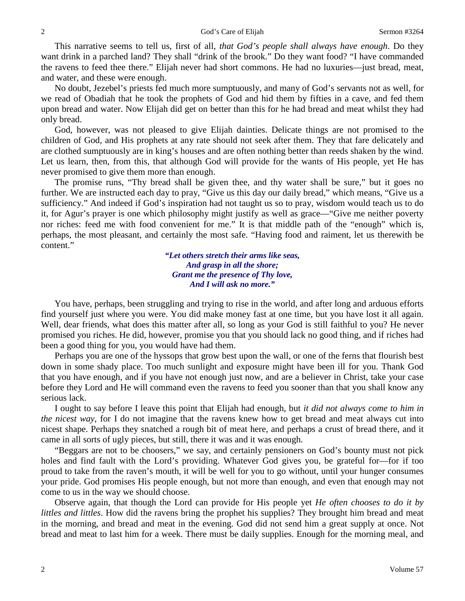This narrative seems to tell us, first of all, *that God's people shall always have enough*. Do they want drink in a parched land? They shall "drink of the brook." Do they want food? "I have commanded the ravens to feed thee there." Elijah never had short commons. He had no luxuries—just bread, meat, and water, and these were enough.

No doubt, Jezebel's priests fed much more sumptuously, and many of God's servants not as well, for we read of Obadiah that he took the prophets of God and hid them by fifties in a cave, and fed them upon bread and water. Now Elijah did get on better than this for he had bread and meat whilst they had only bread.

God, however, was not pleased to give Elijah dainties. Delicate things are not promised to the children of God, and His prophets at any rate should not seek after them. They that fare delicately and are clothed sumptuously are in king's houses and are often nothing better than reeds shaken by the wind. Let us learn, then, from this, that although God will provide for the wants of His people, yet He has never promised to give them more than enough.

The promise runs, "Thy bread shall be given thee, and thy water shall be sure," but it goes no further. We are instructed each day to pray, "Give us this day our daily bread," which means, "Give us a sufficiency." And indeed if God's inspiration had not taught us so to pray, wisdom would teach us to do it, for Agur's prayer is one which philosophy might justify as well as grace—"Give me neither poverty nor riches: feed me with food convenient for me." It is that middle path of the "enough" which is, perhaps, the most pleasant, and certainly the most safe. "Having food and raiment, let us therewith be content."

> *"Let others stretch their arms like seas, And grasp in all the shore; Grant me the presence of Thy love, And I will ask no more."*

You have, perhaps, been struggling and trying to rise in the world, and after long and arduous efforts find yourself just where you were. You did make money fast at one time, but you have lost it all again. Well, dear friends, what does this matter after all, so long as your God is still faithful to you? He never promised you riches. He did, however, promise you that you should lack no good thing, and if riches had been a good thing for you, you would have had them.

Perhaps you are one of the hyssops that grow best upon the wall, or one of the ferns that flourish best down in some shady place. Too much sunlight and exposure might have been ill for you. Thank God that you have enough, and if you have not enough just now, and are a believer in Christ, take your case before they Lord and He will command even the ravens to feed you sooner than that you shall know any serious lack.

I ought to say before I leave this point that Elijah had enough, but *it did not always come to him in the nicest way*, for I do not imagine that the ravens knew how to get bread and meat always cut into nicest shape. Perhaps they snatched a rough bit of meat here, and perhaps a crust of bread there, and it came in all sorts of ugly pieces, but still, there it was and it was enough.

"Beggars are not to be choosers," we say, and certainly pensioners on God's bounty must not pick holes and find fault with the Lord's providing. Whatever God gives you, be grateful for—for if too proud to take from the raven's mouth, it will be well for you to go without, until your hunger consumes your pride. God promises His people enough, but not more than enough, and even that enough may not come to us in the way we should choose.

Observe again, that though the Lord can provide for His people yet *He often chooses to do it by littles and littles*. How did the ravens bring the prophet his supplies? They brought him bread and meat in the morning, and bread and meat in the evening. God did not send him a great supply at once. Not bread and meat to last him for a week. There must be daily supplies. Enough for the morning meal, and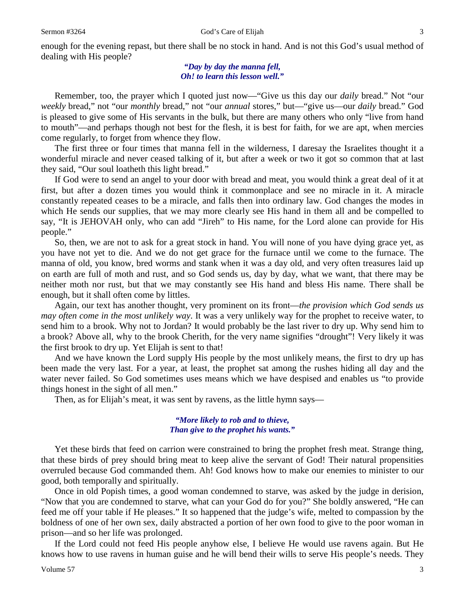enough for the evening repast, but there shall be no stock in hand. And is not this God's usual method of dealing with His people?

> *"Day by day the manna fell, Oh! to learn this lesson well."*

Remember, too, the prayer which I quoted just now—"Give us this day our *daily* bread." Not "our *weekly* bread," not "our *monthly* bread," not "our *annual* stores," but—"give us—our *daily* bread." God is pleased to give some of His servants in the bulk, but there are many others who only "live from hand to mouth"—and perhaps though not best for the flesh, it is best for faith, for we are apt, when mercies come regularly, to forget from whence they flow.

The first three or four times that manna fell in the wilderness, I daresay the Israelites thought it a wonderful miracle and never ceased talking of it, but after a week or two it got so common that at last they said, "Our soul loatheth this light bread."

If God were to send an angel to your door with bread and meat, you would think a great deal of it at first, but after a dozen times you would think it commonplace and see no miracle in it. A miracle constantly repeated ceases to be a miracle, and falls then into ordinary law. God changes the modes in which He sends our supplies, that we may more clearly see His hand in them all and be compelled to say, "It is JEHOVAH only, who can add "Jireh" to His name, for the Lord alone can provide for His people."

So, then, we are not to ask for a great stock in hand. You will none of you have dying grace yet, as you have not yet to die. And we do not get grace for the furnace until we come to the furnace. The manna of old, you know, bred worms and stank when it was a day old, and very often treasures laid up on earth are full of moth and rust, and so God sends us, day by day, what we want, that there may be neither moth nor rust, but that we may constantly see His hand and bless His name. There shall be enough, but it shall often come by littles.

Again, our text has another thought, very prominent on its front—*the provision which God sends us may often come in the most unlikely way*. It was a very unlikely way for the prophet to receive water, to send him to a brook. Why not to Jordan? It would probably be the last river to dry up. Why send him to a brook? Above all, why to the brook Cherith, for the very name signifies "drought"! Very likely it was the first brook to dry up. Yet Elijah is sent to that!

And we have known the Lord supply His people by the most unlikely means, the first to dry up has been made the very last. For a year, at least, the prophet sat among the rushes hiding all day and the water never failed. So God sometimes uses means which we have despised and enables us "to provide things honest in the sight of all men."

Then, as for Elijah's meat, it was sent by ravens, as the little hymn says—

#### *"More likely to rob and to thieve, Than give to the prophet his wants."*

Yet these birds that feed on carrion were constrained to bring the prophet fresh meat. Strange thing, that these birds of prey should bring meat to keep alive the servant of God! Their natural propensities overruled because God commanded them. Ah! God knows how to make our enemies to minister to our good, both temporally and spiritually.

Once in old Popish times, a good woman condemned to starve, was asked by the judge in derision, "Now that you are condemned to starve, what can your God do for you?" She boldly answered, "He can feed me off your table if He pleases." It so happened that the judge's wife, melted to compassion by the boldness of one of her own sex, daily abstracted a portion of her own food to give to the poor woman in prison—and so her life was prolonged.

If the Lord could not feed His people anyhow else, I believe He would use ravens again. But He knows how to use ravens in human guise and he will bend their wills to serve His people's needs. They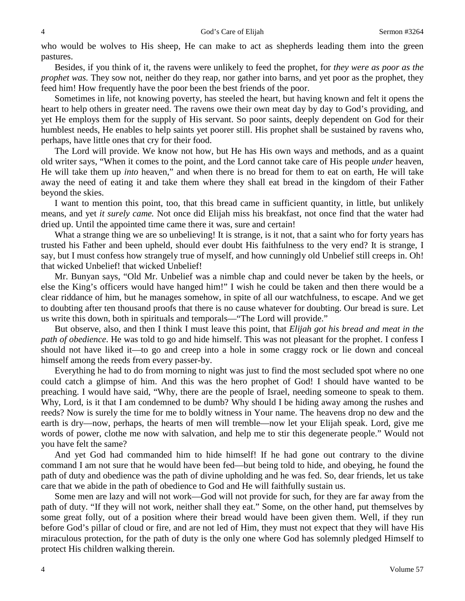who would be wolves to His sheep, He can make to act as shepherds leading them into the green pastures.

Besides, if you think of it, the ravens were unlikely to feed the prophet, for *they were as poor as the prophet was.* They sow not, neither do they reap, nor gather into barns, and yet poor as the prophet, they feed him! How frequently have the poor been the best friends of the poor.

Sometimes in life, not knowing poverty, has steeled the heart, but having known and felt it opens the heart to help others in greater need. The ravens owe their own meat day by day to God's providing, and yet He employs them for the supply of His servant. So poor saints, deeply dependent on God for their humblest needs, He enables to help saints yet poorer still. His prophet shall be sustained by ravens who, perhaps, have little ones that cry for their food.

The Lord will provide. We know not how, but He has His own ways and methods, and as a quaint old writer says, "When it comes to the point, and the Lord cannot take care of His people *under* heaven, He will take them up *into* heaven," and when there is no bread for them to eat on earth, He will take away the need of eating it and take them where they shall eat bread in the kingdom of their Father beyond the skies.

I want to mention this point, too, that this bread came in sufficient quantity, in little, but unlikely means, and yet *it surely came.* Not once did Elijah miss his breakfast, not once find that the water had dried up. Until the appointed time came there it was, sure and certain!

What a strange thing we are so unbelieving! It is strange, is it not, that a saint who for forty years has trusted his Father and been upheld, should ever doubt His faithfulness to the very end? It is strange, I say, but I must confess how strangely true of myself, and how cunningly old Unbelief still creeps in. Oh! that wicked Unbelief! that wicked Unbelief!

Mr. Bunyan says, "Old Mr. Unbelief was a nimble chap and could never be taken by the heels, or else the King's officers would have hanged him!" I wish he could be taken and then there would be a clear riddance of him, but he manages somehow, in spite of all our watchfulness, to escape. And we get to doubting after ten thousand proofs that there is no cause whatever for doubting. Our bread is sure. Let us write this down, both in spirituals and temporals—"The Lord will provide."

But observe, also, and then I think I must leave this point, that *Elijah got his bread and meat in the path of obedience*. He was told to go and hide himself. This was not pleasant for the prophet. I confess I should not have liked it—to go and creep into a hole in some craggy rock or lie down and conceal himself among the reeds from every passer-by.

Everything he had to do from morning to night was just to find the most secluded spot where no one could catch a glimpse of him. And this was the hero prophet of God! I should have wanted to be preaching. I would have said, "Why, there are the people of Israel, needing someone to speak to them. Why, Lord, is it that I am condemned to be dumb? Why should I be hiding away among the rushes and reeds? Now is surely the time for me to boldly witness in Your name. The heavens drop no dew and the earth is dry—now, perhaps, the hearts of men will tremble—now let your Elijah speak. Lord, give me words of power, clothe me now with salvation, and help me to stir this degenerate people." Would not you have felt the same?

And yet God had commanded him to hide himself! If he had gone out contrary to the divine command I am not sure that he would have been fed—but being told to hide, and obeying, he found the path of duty and obedience was the path of divine upholding and he was fed. So, dear friends, let us take care that we abide in the path of obedience to God and He will faithfully sustain us.

Some men are lazy and will not work—God will not provide for such, for they are far away from the path of duty. "If they will not work, neither shall they eat." Some, on the other hand, put themselves by some great folly, out of a position where their bread would have been given them. Well, if they run before God's pillar of cloud or fire, and are not led of Him, they must not expect that they will have His miraculous protection, for the path of duty is the only one where God has solemnly pledged Himself to protect His children walking therein.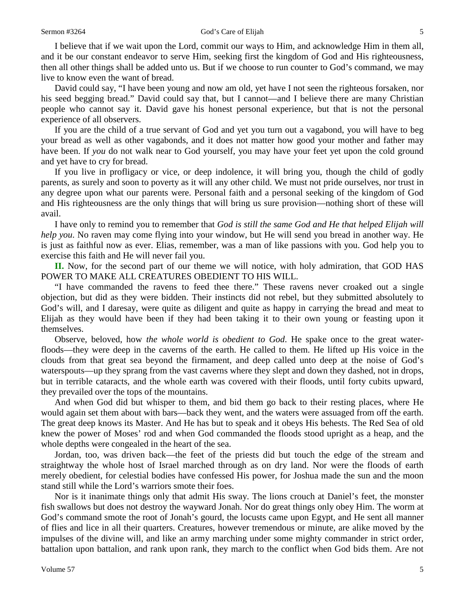I believe that if we wait upon the Lord, commit our ways to Him, and acknowledge Him in them all, and it be our constant endeavor to serve Him, seeking first the kingdom of God and His righteousness, then all other things shall be added unto us. But if we choose to run counter to God's command, we may live to know even the want of bread.

David could say, "I have been young and now am old, yet have I not seen the righteous forsaken, nor his seed begging bread." David could say that, but I cannot—and I believe there are many Christian people who cannot say it. David gave his honest personal experience, but that is not the personal experience of all observers.

If you are the child of a true servant of God and yet you turn out a vagabond, you will have to beg your bread as well as other vagabonds, and it does not matter how good your mother and father may have been. If *you* do not walk near to God yourself, you may have your feet yet upon the cold ground and yet have to cry for bread.

If you live in profligacy or vice, or deep indolence, it will bring you, though the child of godly parents, as surely and soon to poverty as it will any other child. We must not pride ourselves, nor trust in any degree upon what our parents were. Personal faith and a personal seeking of the kingdom of God and His righteousness are the only things that will bring us sure provision—nothing short of these will avail.

I have only to remind you to remember that *God is still the same God and He that helped Elijah will help you*. No raven may come flying into your window, but He will send you bread in another way. He is just as faithful now as ever. Elias, remember, was a man of like passions with you. God help you to exercise this faith and He will never fail you.

**II.** Now, for the second part of our theme we will notice, with holy admiration, that GOD HAS POWER TO MAKE ALL CREATURES OBEDIENT TO HIS WILL.

"I have commanded the ravens to feed thee there." These ravens never croaked out a single objection, but did as they were bidden. Their instincts did not rebel, but they submitted absolutely to God's will, and I daresay, were quite as diligent and quite as happy in carrying the bread and meat to Elijah as they would have been if they had been taking it to their own young or feasting upon it themselves.

Observe, beloved, how *the whole world is obedient to God*. He spake once to the great waterfloods—they were deep in the caverns of the earth. He called to them. He lifted up His voice in the clouds from that great sea beyond the firmament, and deep called unto deep at the noise of God's waterspouts—up they sprang from the vast caverns where they slept and down they dashed, not in drops, but in terrible cataracts, and the whole earth was covered with their floods, until forty cubits upward, they prevailed over the tops of the mountains.

And when God did but whisper to them, and bid them go back to their resting places, where He would again set them about with bars—back they went, and the waters were assuaged from off the earth. The great deep knows its Master. And He has but to speak and it obeys His behests. The Red Sea of old knew the power of Moses' rod and when God commanded the floods stood upright as a heap, and the whole depths were congealed in the heart of the sea.

Jordan, too, was driven back—the feet of the priests did but touch the edge of the stream and straightway the whole host of Israel marched through as on dry land. Nor were the floods of earth merely obedient, for celestial bodies have confessed His power, for Joshua made the sun and the moon stand still while the Lord's warriors smote their foes.

Nor is it inanimate things only that admit His sway. The lions crouch at Daniel's feet, the monster fish swallows but does not destroy the wayward Jonah. Nor do great things only obey Him. The worm at God's command smote the root of Jonah's gourd, the locusts came upon Egypt, and He sent all manner of flies and lice in all their quarters. Creatures, however tremendous or minute, are alike moved by the impulses of the divine will, and like an army marching under some mighty commander in strict order, battalion upon battalion, and rank upon rank, they march to the conflict when God bids them. Are not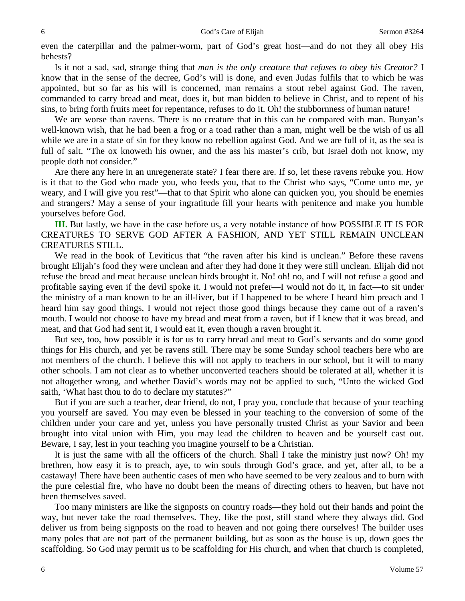even the caterpillar and the palmer-worm, part of God's great host—and do not they all obey His behests?

Is it not a sad, sad, strange thing that *man is the only creature that refuses to obey his Creator?* I know that in the sense of the decree, God's will is done, and even Judas fulfils that to which he was appointed, but so far as his will is concerned, man remains a stout rebel against God. The raven, commanded to carry bread and meat, does it, but man bidden to believe in Christ, and to repent of his sins, to bring forth fruits meet for repentance, refuses to do it. Oh! the stubbornness of human nature!

We are worse than ravens. There is no creature that in this can be compared with man. Bunyan's well-known wish, that he had been a frog or a toad rather than a man, might well be the wish of us all while we are in a state of sin for they know no rebellion against God. And we are full of it, as the sea is full of salt. "The ox knoweth his owner, and the ass his master's crib, but Israel doth not know, my people doth not consider."

Are there any here in an unregenerate state? I fear there are. If so, let these ravens rebuke you. How is it that to the God who made you, who feeds you, that to the Christ who says, "Come unto me, ye weary, and I will give you rest"—that to that Spirit who alone can quicken you, you should be enemies and strangers? May a sense of your ingratitude fill your hearts with penitence and make you humble yourselves before God.

**III.** But lastly, we have in the case before us, a very notable instance of how POSSIBLE IT IS FOR CREATURES TO SERVE GOD AFTER A FASHION, AND YET STILL REMAIN UNCLEAN CREATURES STILL.

We read in the book of Leviticus that "the raven after his kind is unclean." Before these ravens brought Elijah's food they were unclean and after they had done it they were still unclean. Elijah did not refuse the bread and meat because unclean birds brought it. No! oh! no, and I will not refuse a good and profitable saying even if the devil spoke it. I would not prefer—I would not do it, in fact—to sit under the ministry of a man known to be an ill-liver, but if I happened to be where I heard him preach and I heard him say good things, I would not reject those good things because they came out of a raven's mouth. I would not choose to have my bread and meat from a raven, but if I knew that it was bread, and meat, and that God had sent it, I would eat it, even though a raven brought it.

But see, too, how possible it is for us to carry bread and meat to God's servants and do some good things for His church, and yet be ravens still. There may be some Sunday school teachers here who are not members of the church. I believe this will not apply to teachers in our school, but it will to many other schools. I am not clear as to whether unconverted teachers should be tolerated at all, whether it is not altogether wrong, and whether David's words may not be applied to such, "Unto the wicked God saith, 'What hast thou to do to declare my statutes?"

But if you are such a teacher, dear friend, do not, I pray you, conclude that because of your teaching you yourself are saved. You may even be blessed in your teaching to the conversion of some of the children under your care and yet, unless you have personally trusted Christ as your Savior and been brought into vital union with Him, you may lead the children to heaven and be yourself cast out. Beware, I say, lest in your teaching you imagine yourself to be a Christian.

It is just the same with all the officers of the church. Shall I take the ministry just now? Oh! my brethren, how easy it is to preach, aye, to win souls through God's grace, and yet, after all, to be a castaway! There have been authentic cases of men who have seemed to be very zealous and to burn with the pure celestial fire, who have no doubt been the means of directing others to heaven, but have not been themselves saved.

Too many ministers are like the signposts on country roads—they hold out their hands and point the way, but never take the road themselves. They, like the post, still stand where they always did. God deliver us from being signposts on the road to heaven and not going there ourselves! The builder uses many poles that are not part of the permanent building, but as soon as the house is up, down goes the scaffolding. So God may permit us to be scaffolding for His church, and when that church is completed,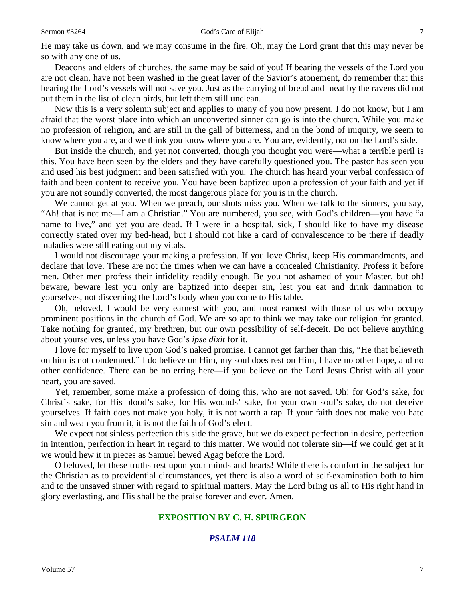He may take us down, and we may consume in the fire. Oh, may the Lord grant that this may never be so with any one of us.

Deacons and elders of churches, the same may be said of you! If bearing the vessels of the Lord you are not clean, have not been washed in the great laver of the Savior's atonement, do remember that this bearing the Lord's vessels will not save you. Just as the carrying of bread and meat by the ravens did not put them in the list of clean birds, but left them still unclean.

Now this is a very solemn subject and applies to many of you now present. I do not know, but I am afraid that the worst place into which an unconverted sinner can go is into the church. While you make no profession of religion, and are still in the gall of bitterness, and in the bond of iniquity, we seem to know where you are, and we think you know where you are. You are, evidently, not on the Lord's side.

But inside the church, and yet not converted, though you thought you were—what a terrible peril is this. You have been seen by the elders and they have carefully questioned you. The pastor has seen you and used his best judgment and been satisfied with you. The church has heard your verbal confession of faith and been content to receive you. You have been baptized upon a profession of your faith and yet if you are not soundly converted, the most dangerous place for you is in the church.

We cannot get at you. When we preach, our shots miss you. When we talk to the sinners, you say, "Ah! that is not me—I am a Christian." You are numbered, you see, with God's children—you have "a name to live," and yet you are dead. If I were in a hospital, sick, I should like to have my disease correctly stated over my bed-head, but I should not like a card of convalescence to be there if deadly maladies were still eating out my vitals.

I would not discourage your making a profession. If you love Christ, keep His commandments, and declare that love. These are not the times when we can have a concealed Christianity. Profess it before men. Other men profess their infidelity readily enough. Be you not ashamed of your Master, but oh! beware, beware lest you only are baptized into deeper sin, lest you eat and drink damnation to yourselves, not discerning the Lord's body when you come to His table.

Oh, beloved, I would be very earnest with you, and most earnest with those of us who occupy prominent positions in the church of God. We are so apt to think we may take our religion for granted. Take nothing for granted, my brethren, but our own possibility of self-deceit. Do not believe anything about yourselves, unless you have God's *ipse dixit* for it.

I love for myself to live upon God's naked promise. I cannot get farther than this, "He that believeth on him is not condemned." I do believe on Him, my soul does rest on Him, I have no other hope, and no other confidence. There can be no erring here—if you believe on the Lord Jesus Christ with all your heart, you are saved.

Yet, remember, some make a profession of doing this, who are not saved. Oh! for God's sake, for Christ's sake, for His blood's sake, for His wounds' sake, for your own soul's sake, do not deceive yourselves. If faith does not make you holy, it is not worth a rap. If your faith does not make you hate sin and wean you from it, it is not the faith of God's elect.

We expect not sinless perfection this side the grave, but we do expect perfection in desire, perfection in intention, perfection in heart in regard to this matter. We would not tolerate sin—if we could get at it we would hew it in pieces as Samuel hewed Agag before the Lord.

O beloved, let these truths rest upon your minds and hearts! While there is comfort in the subject for the Christian as to providential circumstances, yet there is also a word of self-examination both to him and to the unsaved sinner with regard to spiritual matters. May the Lord bring us all to His right hand in glory everlasting, and His shall be the praise forever and ever. Amen.

# **EXPOSITION BY C. H. SPURGEON**

# *PSALM 118*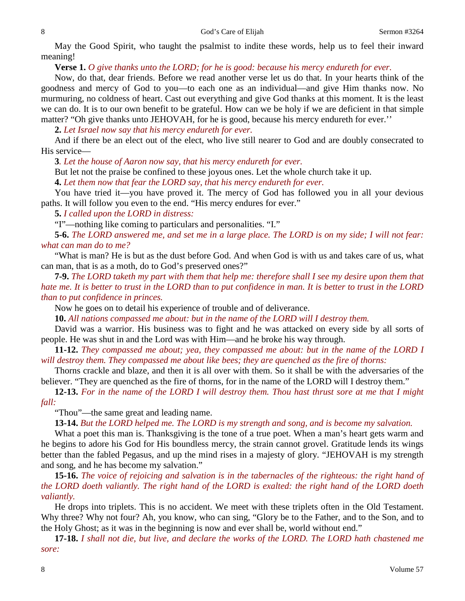May the Good Spirit, who taught the psalmist to indite these words, help us to feel their inward meaning!

**Verse 1.** *O give thanks unto the LORD; for he is good: because his mercy endureth for ever.* 

Now, do that, dear friends. Before we read another verse let us do that. In your hearts think of the goodness and mercy of God to you—to each one as an individual—and give Him thanks now. No murmuring, no coldness of heart. Cast out everything and give God thanks at this moment. It is the least we can do. It is to our own benefit to be grateful. How can we be holy if we are deficient in that simple matter? "Oh give thanks unto JEHOVAH, for he is good, because his mercy endureth for ever."

**2.** *Let Israel now say that his mercy endureth for ever.* 

And if there be an elect out of the elect, who live still nearer to God and are doubly consecrated to His service—

**3***. Let the house of Aaron now say, that his mercy endureth for ever.* 

But let not the praise be confined to these joyous ones. Let the whole church take it up.

**4.** *Let them now that fear the LORD say, that his mercy endureth for ever.* 

You have tried it—you have proved it. The mercy of God has followed you in all your devious paths. It will follow you even to the end. "His mercy endures for ever."

**5.** *I called upon the LORD in distress:*

"I"—nothing like coming to particulars and personalities. "I."

**5-6.** *The LORD answered me, and set me in a large place. The LORD is on my side; I will not fear: what can man do to me?*

"What is man? He is but as the dust before God. And when God is with us and takes care of us, what can man, that is as a moth, do to God's preserved ones?"

**7-9.** *The LORD taketh my part with them that help me: therefore shall I see my desire upon them that hate me. It is better to trust in the LORD than to put confidence in man. It is better to trust in the LORD than to put confidence in princes.* 

Now he goes on to detail his experience of trouble and of deliverance.

**10.** *All nations compassed me about: but in the name of the LORD will I destroy them.* 

David was a warrior. His business was to fight and he was attacked on every side by all sorts of people. He was shut in and the Lord was with Him—and he broke his way through.

**11-12.** *They compassed me about; yea, they compassed me about: but in the name of the LORD I will destroy them. They compassed me about like bees; they are quenched as the fire of thorns:*

Thorns crackle and blaze, and then it is all over with them. So it shall be with the adversaries of the believer. "They are quenched as the fire of thorns, for in the name of the LORD will I destroy them."

**12-13.** *For in the name of the LORD I will destroy them. Thou hast thrust sore at me that I might fall:*

"Thou"—the same great and leading name.

**13-14.** *But the LORD helped me. The LORD is my strength and song, and is become my salvation.* 

What a poet this man is. Thanksgiving is the tone of a true poet. When a man's heart gets warm and he begins to adore his God for His boundless mercy, the strain cannot grovel. Gratitude lends its wings better than the fabled Pegasus, and up the mind rises in a majesty of glory. "JEHOVAH is my strength and song, and he has become my salvation."

**15-16.** *The voice of rejoicing and salvation is in the tabernacles of the righteous: the right hand of the LORD doeth valiantly. The right hand of the LORD is exalted: the right hand of the LORD doeth valiantly.* 

He drops into triplets. This is no accident. We meet with these triplets often in the Old Testament. Why three? Why not four? Ah, you know, who can sing, "Glory be to the Father, and to the Son, and to the Holy Ghost; as it was in the beginning is now and ever shall be, world without end."

**17-18.** *I shall not die, but live, and declare the works of the LORD. The LORD hath chastened me sore:*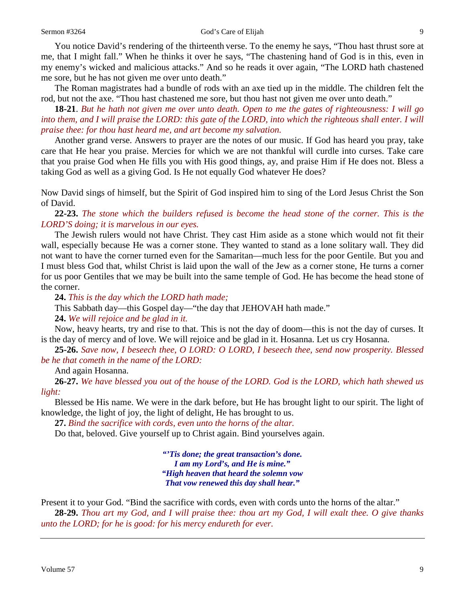You notice David's rendering of the thirteenth verse. To the enemy he says, "Thou hast thrust sore at me, that I might fall." When he thinks it over he says, "The chastening hand of God is in this, even in my enemy's wicked and malicious attacks." And so he reads it over again, "The LORD hath chastened me sore, but he has not given me over unto death."

The Roman magistrates had a bundle of rods with an axe tied up in the middle. The children felt the rod, but not the axe. "Thou hast chastened me sore, but thou hast not given me over unto death."

**18-21**. *But he hath not given me over unto death. Open to me the gates of righteousness: I will go*  into them, and I will praise the LORD: this gate of the LORD, into which the righteous shall enter. I will *praise thee: for thou hast heard me, and art become my salvation.* 

Another grand verse. Answers to prayer are the notes of our music. If God has heard you pray, take care that He hear you praise. Mercies for which we are not thankful will curdle into curses. Take care that you praise God when He fills you with His good things, ay, and praise Him if He does not. Bless a taking God as well as a giving God. Is He not equally God whatever He does?

Now David sings of himself, but the Spirit of God inspired him to sing of the Lord Jesus Christ the Son of David.

**22-23.** *The stone which the builders refused is become the head stone of the corner. This is the LORD'S doing; it is marvelous in our eyes.* 

The Jewish rulers would not have Christ. They cast Him aside as a stone which would not fit their wall, especially because He was a corner stone. They wanted to stand as a lone solitary wall. They did not want to have the corner turned even for the Samaritan—much less for the poor Gentile. But you and I must bless God that, whilst Christ is laid upon the wall of the Jew as a corner stone, He turns a corner for us poor Gentiles that we may be built into the same temple of God. He has become the head stone of the corner.

**24.** *This is the day which the LORD hath made;*

This Sabbath day—this Gospel day—"the day that JEHOVAH hath made."

**24.** *We will rejoice and be glad in it.* 

Now, heavy hearts, try and rise to that. This is not the day of doom—this is not the day of curses. It is the day of mercy and of love. We will rejoice and be glad in it. Hosanna. Let us cry Hosanna.

**25-26.** *Save now, I beseech thee, O LORD: O LORD, I beseech thee, send now prosperity. Blessed be he that cometh in the name of the LORD:*

And again Hosanna.

**26-27.** *We have blessed you out of the house of the LORD. God is the LORD, which hath shewed us light:*

Blessed be His name. We were in the dark before, but He has brought light to our spirit. The light of knowledge, the light of joy, the light of delight, He has brought to us.

**27.** *Bind the sacrifice with cords, even unto the horns of the altar.* 

Do that, beloved. Give yourself up to Christ again. Bind yourselves again.

*"'Tis done; the great transaction's done. I am my Lord's, and He is mine." "High heaven that heard the solemn vow That vow renewed this day shall hear."*

Present it to your God. "Bind the sacrifice with cords, even with cords unto the horns of the altar."

**28-29.** *Thou art my God, and I will praise thee: thou art my God, I will exalt thee. O give thanks unto the LORD; for he is good: for his mercy endureth for ever.*